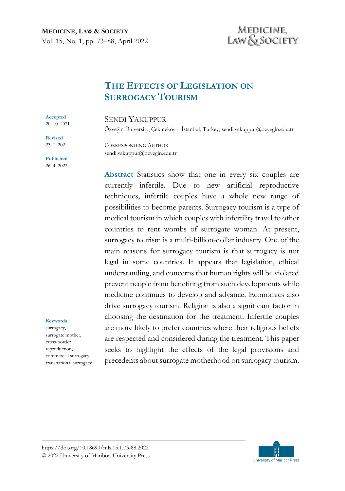# MEDICINE, LAW & SOCIETY

# **THE EFFECTS OF LEGISLATION ON SURROGACY TOURISM**

#### SENDI YAKUPPUR

Özyeğin Üniversity, Çekmeköy – İstanbul, Turkey, sendi.yakuppur@ozyegin.edu.tr

CORRESPONDING AUTHOR sendi.yakuppur@ozyegin.edu.tr

**Abstract** Statistics show that one in every six couples are currently infertile. Due to new artificial reproductive techniques, infertile couples have a whole new range of possibilities to become parents. Surrogacy tourism is a type of medical tourism in which couples with infertility travel to other countries to rent wombs of surrogate woman. At present, surrogacy tourism is a multi-billion-dollar industry. One of the main reasons for surrogacy tourism is that surrogacy is not legal in some countries. It appears that legislation, ethical understanding, and concerns that human rights will be violated prevent people from benefiting from such developments while medicine continues to develop and advance. Economics also drive surrogacy tourism. Religion is also a significant factor in choosing the destination for the treatment. Infertile couples are more likely to prefer countries where their religious beliefs are respected and considered during the treatment. This paper seeks to highlight the effects of the legal provisions and precedents about surrogate motherhood on surrogacy tourism.

# 20. 10. 2021 **Revised**

**Accepted** 

23. 1. 202

**Published** 26. 4. 2022

#### **Keywords**

surrogacy, surrogate mother, cross-border reproduction, commercial surrogacy, transnational surrogacy

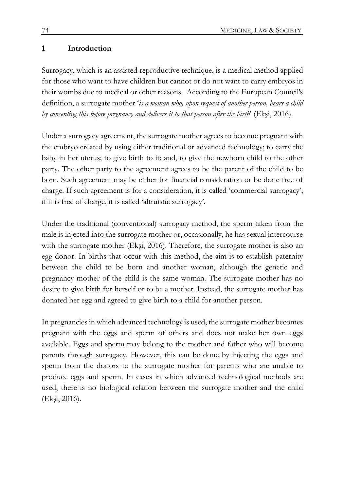#### **1 Introduction**

Surrogacy, which is an assisted reproductive technique, is a medical method applied for those who want to have children but cannot or do not want to carry embryos in their wombs due to medical or other reasons. According to the European Council's definition, a surrogate mother '*is a woman who, upon request of another person, bears a child by consenting this before pregnancy and delivers it to that person after the birth*' (Ekşi, 2016).

Under a surrogacy agreement, the surrogate mother agrees to become pregnant with the embryo created by using either traditional or advanced technology; to carry the baby in her uterus; to give birth to it; and, to give the newborn child to the other party. The other party to the agreement agrees to be the parent of the child to be born. Such agreement may be either for financial consideration or be done free of charge. If such agreement is for a consideration, it is called 'commercial surrogacy'; if it is free of charge, it is called 'altruistic surrogacy'.

Under the traditional (conventional) surrogacy method, the sperm taken from the male is injected into the surrogate mother or, occasionally, he has sexual intercourse with the surrogate mother (Ekşi, 2016). Therefore, the surrogate mother is also an egg donor. In births that occur with this method, the aim is to establish paternity between the child to be born and another woman, although the genetic and pregnancy mother of the child is the same woman. The surrogate mother has no desire to give birth for herself or to be a mother. Instead, the surrogate mother has donated her egg and agreed to give birth to a child for another person.

In pregnancies in which advanced technology is used, the surrogate mother becomes pregnant with the eggs and sperm of others and does not make her own eggs available. Eggs and sperm may belong to the mother and father who will become parents through surrogacy. However, this can be done by injecting the eggs and sperm from the donors to the surrogate mother for parents who are unable to produce eggs and sperm. In cases in which advanced technological methods are used, there is no biological relation between the surrogate mother and the child (Ekşi, 2016).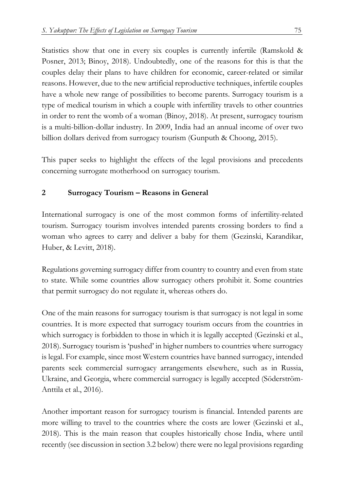Statistics show that one in every six couples is currently infertile (Ramskold & Posner, 2013; Binoy, 2018). Undoubtedly, one of the reasons for this is that the couples delay their plans to have children for economic, career-related or similar reasons. However, due to the new artificial reproductive techniques, infertile couples have a whole new range of possibilities to become parents. Surrogacy tourism is a type of medical tourism in which a couple with infertility travels to other countries in order to rent the womb of a woman (Binoy, 2018). At present, surrogacy tourism is a multi-billion-dollar industry. In 2009, India had an annual income of over two billion dollars derived from surrogacy tourism (Gunputh & Choong, 2015).

This paper seeks to highlight the effects of the legal provisions and precedents concerning surrogate motherhood on surrogacy tourism.

### **2 Surrogacy Tourism – Reasons in General**

International surrogacy is one of the most common forms of infertility-related tourism. Surrogacy tourism involves intended parents crossing borders to find a woman who agrees to carry and deliver a baby for them (Gezinski, Karandikar, Huber, & Levitt, 2018).

Regulations governing surrogacy differ from country to country and even from state to state. While some countries allow surrogacy others prohibit it. Some countries that permit surrogacy do not regulate it, whereas others do.

One of the main reasons for surrogacy tourism is that surrogacy is not legal in some countries. It is more expected that surrogacy tourism occurs from the countries in which surrogacy is forbidden to those in which it is legally accepted (Gezinski et al., 2018). Surrogacy tourism is 'pushed' in higher numbers to countries where surrogacy is legal. For example, since most Western countries have banned surrogacy, intended parents seek commercial surrogacy arrangements elsewhere, such as in Russia, Ukraine, and Georgia, where commercial surrogacy is legally accepted (Söderström-Anttila et al., 2016).

Another important reason for surrogacy tourism is financial. Intended parents are more willing to travel to the countries where the costs are lower (Gezinski et al., 2018). This is the main reason that couples historically chose India, where until recently (see discussion in section 3.2 below) there were no legal provisions regarding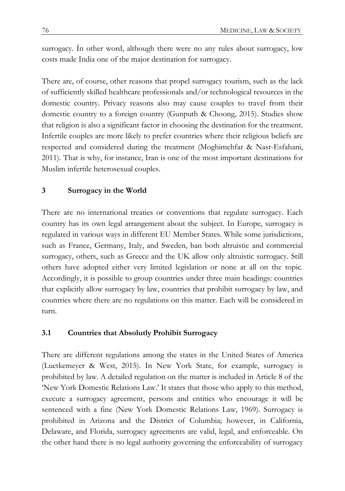surrogacy. İn other word, although there were no any rules about surrogacy, low costs made India one of the major destination for surrogacy.

There are, of course, other reasons that propel surrogacy tourism, such as the lack of sufficiently skilled healthcare professionals and/or technological resources in the domestic country. Privacy reasons also may cause couples to travel from their domestic country to a foreign country (Gunputh & Choong, 2015). Studies show that religion is also a significant factor in choosing the destination for the treatment. Infertile couples are more likely to prefer countries where their religious beliefs are respected and considered during the treatment (Moghimehfar & Nasr-Esfahani, 2011). That is why, for instance, Iran is one of the most important destinations for Muslim infertile heterosexual couples.

## **3 Surrogacy in the World**

There are no international treaties or conventions that regulate surrogacy. Each country has its own legal arrangement about the subject. In Europe, surrogacy is regulated in various ways in different EU Member States. While some jurisdictions, such as France, Germany, Italy, and Sweden, ban both altruistic and commercial surrogacy, others, such as Greece and the UK allow only altruistic surrogacy. Still others have adopted either very limited legislation or none at all on the topic. Accordingly, it is possible to group countries under three main headings: countries that explicitly allow surrogacy by law, countries that prohibit surrogacy by law, and countries where there are no regulations on this matter. Each will be considered in turn.

### **3.1 Countries that Absolutly Prohibit Surrogacy**

There are different regulations among the states in the United States of America (Luetkemeyer & West, 2015). In New York State, for example, surrogacy is prohibited by law. A detailed regulation on the matter is included in Article 8 of the 'New York Domestic Relations Law.' It states that those who apply to this method, execute a surrogacy agreement, persons and entities who encourage it will be sentenced with a fine (New York Domestic Relations Law, 1969). Surrogacy is prohibited in Arizona and the District of Columbia; however, in California, Delaware, and Florida, surrogacy agreements are valid, legal, and enforceable. On the other hand there is no legal authority governing the enforceability of surrogacy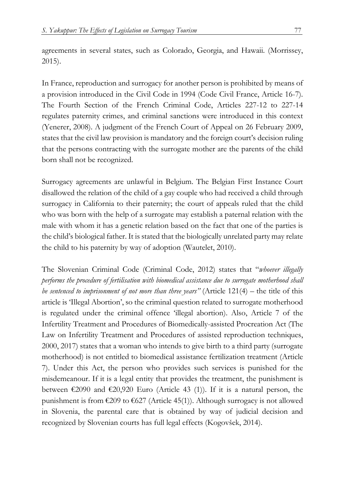agreements in several states, such as Colorado, Georgia, and Hawaii. (Morrissey, 2015).

In France, reproduction and surrogacy for another person is prohibited by means of a provision introduced in the Civil Code in 1994 (Code Civil France, Article 16-7). The Fourth Section of the French Criminal Code, Articles 227-12 to 227-14 regulates paternity crimes, and criminal sanctions were introduced in this context (Yenerer, 2008). A judgment of the French Court of Appeal on 26 February 2009, states that the civil law provision is mandatory and the foreign court's decision ruling that the persons contracting with the surrogate mother are the parents of the child born shall not be recognized.

Surrogacy agreements are unlawful in Belgium. The Belgian First Instance Court disallowed the relation of the child of a gay couple who had received a child through surrogacy in California to their paternity; the court of appeals ruled that the child who was born with the help of a surrogate may establish a paternal relation with the male with whom it has a genetic relation based on the fact that one of the parties is the child's biological father. It is stated that the biologically unrelated party may relate the child to his paternity by way of adoption (Wautelet, 2010).

The Slovenian Criminal Code (Criminal Code, 2012) states that "*whoever illegally performs the procedure of fertilisation with biomedical assistance due to surrogate motherhood shall be sentenced to imprisonment of not more than three years"* (Article 121(4) – the title of this article is 'Illegal Abortion', so the criminal question related to surrogate motherhood is regulated under the criminal offence 'illegal abortion). Also, Article 7 of the Infertility Treatment and Procedures of Biomedically-assisted Procreation Act (The Law on Infertility Treatment and Procedures of assisted reproduction techniques, 2000, 2017) states that a woman who intends to give birth to a third party (surrogate motherhood) is not entitled to biomedical assistance fertilization treatment (Article 7). Under this Act, the person who provides such services is punished for the misdemeanour. If it is a legal entity that provides the treatment, the punishment is between  $\epsilon$ 2090 and  $\epsilon$ 20,920 Euro (Article 43 (1)). If it is a natural person, the punishment is from  $\epsilon$ 209 to  $\epsilon$ 627 (Article 45(1)). Although surrogacy is not allowed in Slovenia, the parental care that is obtained by way of judicial decision and recognized by Slovenian courts has full legal effects (Kogovšek, 2014).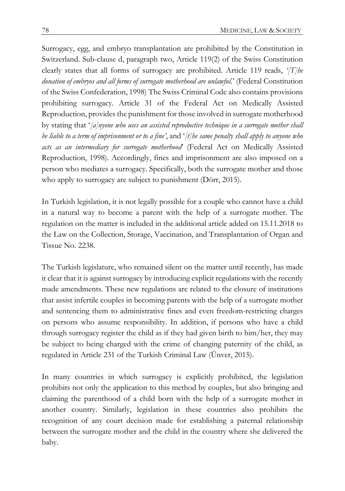Surrogacy, egg, and embryo transplantation are prohibited by the Constitution in Switzerland. Sub-clause d, paragraph two, Article 119(2) of the Swiss Constitution clearly states that all forms of surrogacy are prohibited. Article 119 reads, *'[T]he donation of embryos and all forms of surrogate motherhood are unlawful.*' (Federal Constitution of the Swiss Confederation, 1998) The Swiss Criminal Code also contains provisions prohibiting surrogacy. Article 31 of the Federal Act on Medically Assisted Reproduction, provides the punishment for those involved in surrogate motherhood by stating that '*[a]nyone who uses an assisted reproductive technique in a surrogate mother shall be liable to a term of imprisonment or to a fine'*, and '*[t]he same penalty shall apply to anyone who acts as an intermediary for surrogate motherhood*' (Federal Act on Medically Assisted Reproduction, 1998). Accordingly, fines and imprisonment are also imposed on a person who mediates a surrogacy. Specifically, both the surrogate mother and those who apply to surrogacy are subject to punishment (Dörr, 2015).

In Turkish legislation, it is not legally possible for a couple who cannot have a child in a natural way to become a parent with the help of a surrogate mother. The regulation on the matter is included in the additional article added on 15.11.2018 to the Law on the Collection, Storage, Vaccination, and Transplantation of Organ and Tissue No. 2238.

The Turkish legislature, who remained silent on the matter until recently, has made it clear that it is against surrogacy by introducing explicit regulations with the recently made amendments. These new regulations are related to the closure of institutions that assist infertile couples in becoming parents with the help of a surrogate mother and sentencing them to administrative fines and even freedom-restricting charges on persons who assume responsibility. In addition, if persons who have a child through surrogacy register the child as if they had given birth to him/her, they may be subject to being charged with the crime of changing paternity of the child, as regulated in Article 231 of the Turkish Criminal Law (Ünver, 2015).

In many countries in which surrogacy is explicitly prohibited, the legislation prohibits not only the application to this method by couples, but also bringing and claiming the parenthood of a child born with the help of a surrogate mother in another country. Similarly, legislation in these countries also prohibits the recognition of any court decision made for establishing a paternal relationship between the surrogate mother and the child in the country where she delivered the baby.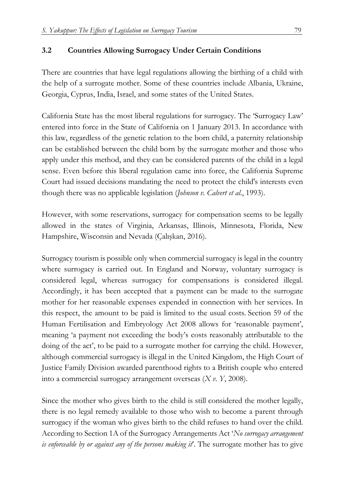## **3.2 Countries Allowing Surrogacy Under Certain Conditions**

There are countries that have legal regulations allowing the birthing of a child with the help of a surrogate mother. Some of these countries include Albania, Ukraine, Georgia, Cyprus, India, Israel, and some states of the United States.

California State has the most liberal regulations for surrogacy. The 'Surrogacy Law' entered into force in the State of California on 1 January 2013. In accordance with this law, regardless of the genetic relation to the born child, a paternity relationship can be established between the child born by the surrogate mother and those who apply under this method, and they can be considered parents of the child in a legal sense. Even before this liberal regulation came into force, the California Supreme Court had issued decisions mandating the need to protect the child's interests even though there was no applicable legislation (*Johnson v. Calvert et al*., 1993).

However, with some reservations, surrogacy for compensation seems to be legally allowed in the states of Virginia, Arkansas, Illinois, Minnesota, Florida, New Hampshire, Wisconsin and Nevada (Çalışkan, 2016).

Surrogacy tourism is possible only when commercial surrogacy is legal in the country where surrogacy is carried out. In England and Norway, voluntary surrogacy is considered legal, whereas surrogacy for compensations is considered illegal. Accordingly, it has been accepted that a payment can be made to the surrogate mother for her reasonable expenses expended in connection with her services. In this respect, the amount to be paid is limited to the usual costs. Section 59 of the Human Fertilisation and Embryology Act 2008 allows for 'reasonable payment', meaning 'a payment not exceeding the body's costs reasonably attributable to the doing of the act', to be paid to a surrogate mother for carrying the child. However, although commercial surrogacy is illegal in the United Kingdom, the High Court of Justice Family Division awarded parenthood rights to a British couple who entered into a commercial surrogacy arrangement overseas (*X v. Y*, 2008).

Since the mother who gives birth to the child is still considered the mother legally, there is no legal remedy available to those who wish to become a parent through surrogacy if the woman who gives birth to the child refuses to hand over the child. According to Section 1A of the Surrogacy Arrangements Act '*No surrogacy arrangement is enforceable by or against any of the persons making it*. The surrogate mother has to give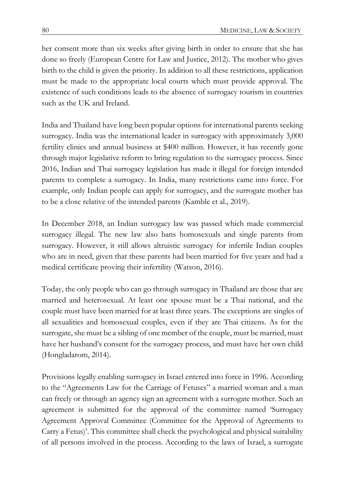her consent more than six weeks after giving birth in order to ensure that she has done so freely (European Centre for Law and Justice, 2012). The mother who gives birth to the child is given the priority. In addition to all these restrictions, application must be made to the appropriate local courts which must provide approval. The existence of such conditions leads to the absence of surrogacy tourism in countries such as the UK and Ireland.

India and Thailand have long been popular options for international parents seeking surrogacy. India was the international leader in surrogacy with approximately 3,000 fertility clinics and annual business at \$400 million. However, it has recently gone through major legislative reform to bring regulation to the surrogacy process. Since 2016, Indian and Thai surrogacy legislation has made it illegal for foreign intended parents to complete a surrogacy. In India, many restrictions came into force. For example, only Indian people can apply for surrogacy, and the surrogate mother has to be a close relative of the intended parents (Kamble et al., 2019).

In December 2018, an Indian surrogacy law was passed which made commercial surrogacy illegal. The new law also bans homosexuals and single parents from surrogacy. However, it still allows altruistic surrogacy for infertile Indian couples who are in need, given that these parents had been married for five years and had a medical certificate proving their infertility (Watson, 2016).

Today, the only people who can go through surrogacy in Thailand are those that are married and heterosexual. At least one spouse must be a Thai national, and the couple must have been married for at least three years. The exceptions are singles of all sexualities and homosexual couples, even if they are Thai citizens. As for the surrogate, she must be a sibling of one member of the couple, must be married, must have her husband's consent for the surrogacy process, and must have her own child (Hongladarom, 2014).

Provisions legally enabling surrogacy in Israel entered into force in 1996. According to the "Agreements Law for the Carriage of Fetuses" a married woman and a man can freely or through an agency sign an agreement with a surrogate mother. Such an agreement is submitted for the approval of the committee named 'Surrogacy Agreement Approval Committee (Committee for the Approval of Agreements to Carry a Fetus)'. This committee shall check the psychological and physical suitability of all persons involved in the process. According to the laws of Israel, a surrogate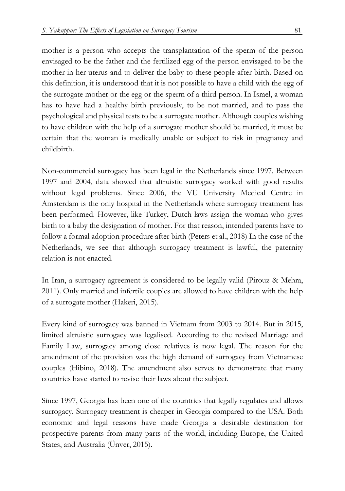mother is a person who accepts the transplantation of the sperm of the person envisaged to be the father and the fertilized egg of the person envisaged to be the mother in her uterus and to deliver the baby to these people after birth. Based on this definition, it is understood that it is not possible to have a child with the egg of the surrogate mother or the egg or the sperm of a third person. In Israel, a woman has to have had a healthy birth previously, to be not married, and to pass the psychological and physical tests to be a surrogate mother. Although couples wishing to have children with the help of a surrogate mother should be married, it must be certain that the woman is medically unable or subject to risk in pregnancy and childbirth.

Non-commercial surrogacy has been legal in the Netherlands since 1997. Between 1997 and 2004, data showed that altruistic surrogacy worked with good results without legal problems. Since 2006, the VU University Medical Centre in Amsterdam is the only hospital in the Netherlands where surrogacy treatment has been performed. However, like Turkey, Dutch laws assign the woman who gives birth to a baby the designation of mother. For that reason, intended parents have to follow a formal adoption procedure after birth (Peters et al., 2018) In the case of the Netherlands, we see that although surrogacy treatment is lawful, the paternity relation is not enacted.

In Iran, a surrogacy agreement is considered to be legally valid (Pirouz & Mehra, 2011). Only married and infertile couples are allowed to have children with the help of a surrogate mother (Hakeri, 2015).

Every kind of surrogacy was banned in Vietnam from 2003 to 2014. But in 2015, limited altruistic surrogacy was legalised. According to the revised Marriage and Family Law, surrogacy among close relatives is now legal. The reason for the amendment of the provision was the high demand of surrogacy from Vietnamese couples (Hibino, 2018). The amendment also serves to demonstrate that many countries have started to revise their laws about the subject.

Since 1997, Georgia has been one of the countries that legally regulates and allows surrogacy. Surrogacy treatment is cheaper in Georgia compared to the USA. Both economic and legal reasons have made Georgia a desirable destination for prospective parents from many parts of the world, including Europe, the United States, and Australia (Ünver, 2015).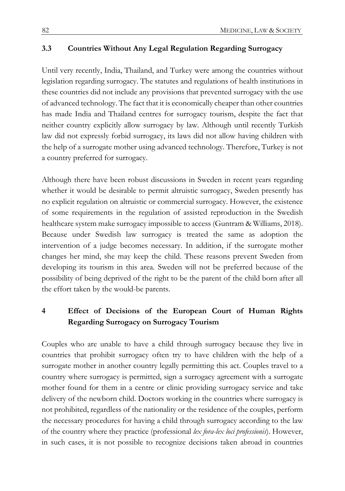#### **3.3 Countries Without Any Legal Regulation Regarding Surrogacy**

Until very recently, India, Thailand, and Turkey were among the countries without legislation regarding surrogacy. The statutes and regulations of health institutions in these countries did not include any provisions that prevented surrogacy with the use of advanced technology. The fact that it is economically cheaper than other countries has made India and Thailand centres for surrogacy tourism, despite the fact that neither country explicitly allow surrogacy by law. Although until recently Turkish law did not expressly forbid surrogacy, its laws did not allow having children with the help of a surrogate mother using advanced technology. Therefore, Turkey is not a country preferred for surrogacy.

Although there have been robust discussions in Sweden in recent years regarding whether it would be desirable to permit altruistic surrogacy, Sweden presently has no explicit regulation on altruistic or commercial surrogacy. However, the existence of some requirements in the regulation of assisted reproduction in the Swedish healthcare system make surrogacy impossible to access (Guntram & Williams, 2018). Because under Swedish law surrogacy is treated the same as adoption the intervention of a judge becomes necessary. In addition, if the surrogate mother changes her mind, she may keep the child. These reasons prevent Sweden from developing its tourism in this area. Sweden will not be preferred because of the possibility of being deprived of the right to be the parent of the child born after all the effort taken by the would-be parents.

## **4 Effect of Decisions of the European Court of Human Rights Regarding Surrogacy on Surrogacy Tourism**

Couples who are unable to have a child through surrogacy because they live in countries that prohibit surrogacy often try to have children with the help of a surrogate mother in another country legally permitting this act. Couples travel to a country where surrogacy is permitted, sign a surrogacy agreement with a surrogate mother found for them in a centre or clinic providing surrogacy service and take delivery of the newborn child. Doctors working in the countries where surrogacy is not prohibited, regardless of the nationality or the residence of the couples, perform the necessary procedures for having a child through surrogacy according to the law of the country where they practice (professional *lex fora-lex loci professionis*). However, in such cases, it is not possible to recognize decisions taken abroad in countries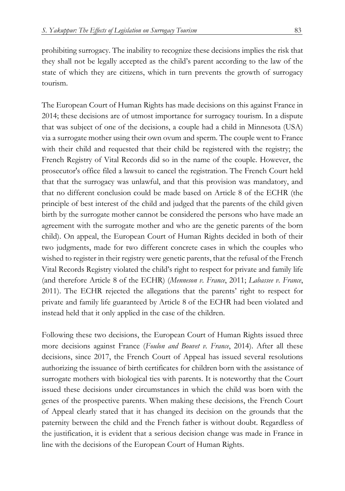prohibiting surrogacy. The inability to recognize these decisions implies the risk that they shall not be legally accepted as the child's parent according to the law of the state of which they are citizens, which in turn prevents the growth of surrogacy tourism.

The European Court of Human Rights has made decisions on this against France in 2014; these decisions are of utmost importance for surrogacy tourism. In a dispute that was subject of one of the decisions, a couple had a child in Minnesota (USA) via a surrogate mother using their own ovum and sperm. The couple went to France with their child and requested that their child be registered with the registry; the French Registry of Vital Records did so in the name of the couple. However, the prosecutor's office filed a lawsuit to cancel the registration. The French Court held that that the surrogacy was unlawful, and that this provision was mandatory, and that no different conclusion could be made based on Article 8 of the ECHR (the principle of best interest of the child and judged that the parents of the child given birth by the surrogate mother cannot be considered the persons who have made an agreement with the surrogate mother and who are the genetic parents of the born child). On appeal, the European Court of Human Rights decided in both of their two judgments, made for two different concrete cases in which the couples who wished to register in their registry were genetic parents, that the refusal of the French Vital Records Registry violated the child's right to respect for private and family life (and therefore Article 8 of the ECHR) (*Menneson v. France*, 2011; *Labassee v. France*, 2011). The ECHR rejected the allegations that the parents' right to respect for private and family life guaranteed by Article 8 of the ECHR had been violated and instead held that it only applied in the case of the children.

Following these two decisions, the European Court of Human Rights issued three more decisions against France (*Foulon and Bouvet v. France*, 2014). After all these decisions, since 2017, the French Court of Appeal has issued several resolutions authorizing the issuance of birth certificates for children born with the assistance of surrogate mothers with biological ties with parents. It is noteworthy that the Court issued these decisions under circumstances in which the child was born with the genes of the prospective parents. When making these decisions, the French Court of Appeal clearly stated that it has changed its decision on the grounds that the paternity between the child and the French father is without doubt. Regardless of the justification, it is evident that a serious decision change was made in France in line with the decisions of the European Court of Human Rights.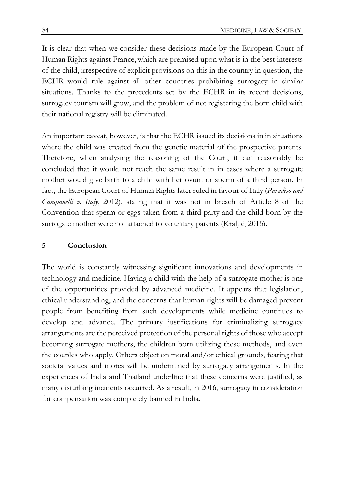It is clear that when we consider these decisions made by the European Court of Human Rights against France, which are premised upon what is in the best interests of the child, irrespective of explicit provisions on this in the country in question, the ECHR would rule against all other countries prohibiting surrogacy in similar situations. Thanks to the precedents set by the ECHR in its recent decisions, surrogacy tourism will grow, and the problem of not registering the born child with their national registry will be eliminated.

An important caveat, however, is that the ECHR issued its decisions in in situations where the child was created from the genetic material of the prospective parents. Therefore, when analysing the reasoning of the Court, it can reasonably be concluded that it would not reach the same result in in cases where a surrogate mother would give birth to a child with her ovum or sperm of a third person. In fact, the European Court of Human Rights later ruled in favour of Italy (*Paradiso and Campanelli v. Italy*, 2012), stating that it was not in breach of Article 8 of the Convention that sperm or eggs taken from a third party and the child born by the surrogate mother were not attached to voluntary parents (Kraljıć, 2015).

#### **5 Conclusion**

The world is constantly witnessing significant innovations and developments in technology and medicine. Having a child with the help of a surrogate mother is one of the opportunities provided by advanced medicine. It appears that legislation, ethical understanding, and the concerns that human rights will be damaged prevent people from benefiting from such developments while medicine continues to develop and advance. The primary justifications for criminalizing surrogacy arrangements are the perceived protection of the personal rights of those who accept becoming surrogate mothers, the children born utilizing these methods, and even the couples who apply. Others object on moral and/or ethical grounds, fearing that societal values and mores will be undermined by surrogacy arrangements. In the experiences of India and Thailand underline that these concerns were justified, as many disturbing incidents occurred. As a result, in 2016, surrogacy in consideration for compensation was completely banned in India.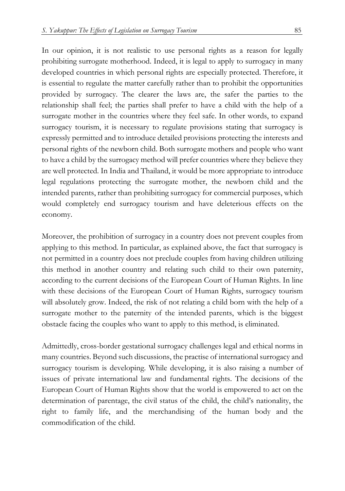In our opinion, it is not realistic to use personal rights as a reason for legally prohibiting surrogate motherhood. Indeed, it is legal to apply to surrogacy in many developed countries in which personal rights are especially protected. Therefore, it is essential to regulate the matter carefully rather than to prohibit the opportunities provided by surrogacy. The clearer the laws are, the safer the parties to the relationship shall feel; the parties shall prefer to have a child with the help of a surrogate mother in the countries where they feel safe. In other words, to expand surrogacy tourism, it is necessary to regulate provisions stating that surrogacy is expressly permitted and to introduce detailed provisions protecting the interests and personal rights of the newborn child. Both surrogate mothers and people who want to have a child by the surrogacy method will prefer countries where they believe they are well protected. In India and Thailand, it would be more appropriate to introduce legal regulations protecting the surrogate mother, the newborn child and the intended parents, rather than prohibiting surrogacy for commercial purposes, which would completely end surrogacy tourism and have deleterious effects on the economy.

Moreover, the prohibition of surrogacy in a country does not prevent couples from applying to this method. In particular, as explained above, the fact that surrogacy is not permitted in a country does not preclude couples from having children utilizing this method in another country and relating such child to their own paternity, according to the current decisions of the European Court of Human Rights. In line with these decisions of the European Court of Human Rights, surrogacy tourism will absolutely grow. Indeed, the risk of not relating a child born with the help of a surrogate mother to the paternity of the intended parents, which is the biggest obstacle facing the couples who want to apply to this method, is eliminated.

Admittedly, cross-border gestational surrogacy challenges legal and ethical norms in many countries. Beyond such discussions, the practise of international surrogacy and surrogacy tourism is developing. While developing, it is also raising a number of issues of private international law and fundamental rights. The decisions of the European Court of Human Rights show that the world is empowered to act on the determination of parentage, the civil status of the child, the child's nationality, the right to family life, and the merchandising of the human body and the commodification of the child.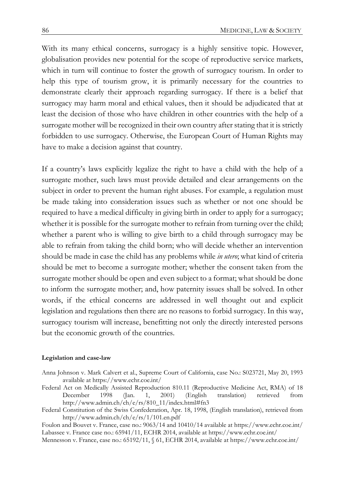With its many ethical concerns, surrogacy is a highly sensitive topic. However, globalisation provides new potential for the scope of reproductive service markets, which in turn will continue to foster the growth of surrogacy tourism. In order to help this type of tourism grow, it is primarily necessary for the countries to demonstrate clearly their approach regarding surrogacy. If there is a belief that surrogacy may harm moral and ethical values, then it should be adjudicated that at least the decision of those who have children in other countries with the help of a surrogate mother will be recognized in their own country after stating that it is strictly forbidden to use surrogacy. Otherwise, the European Court of Human Rights may have to make a decision against that country.

If a country's laws explicitly legalize the right to have a child with the help of a surrogate mother, such laws must provide detailed and clear arrangements on the subject in order to prevent the human right abuses. For example, a regulation must be made taking into consideration issues such as whether or not one should be required to have a medical difficulty in giving birth in order to apply for a surrogacy; whether it is possible for the surrogate mother to refrain from turning over the child; whether a parent who is willing to give birth to a child through surrogacy may be able to refrain from taking the child born; who will decide whether an intervention should be made in case the child has any problems while *in utero*; what kind of criteria should be met to become a surrogate mother; whether the consent taken from the surrogate mother should be open and even subject to a format; what should be done to inform the surrogate mother; and, how paternity issues shall be solved. In other words, if the ethical concerns are addressed in well thought out and explicit legislation and regulations then there are no reasons to forbid surrogacy. In this way, surrogacy tourism will increase, benefitting not only the directly interested persons but the economic growth of the countries.

#### **Legislation and case-law**

- Anna Johnson v. Mark Calvert et al., Supreme Court of California, case No.: S023721, May 20, 1993 available at https://www.echr.coe.int/
- Federal Act on Medically Assisted Reproduction 810.11 (Reproductive Medicine Act, RMA) of 18 December 1998 (Jan. 1, 2001) (English translation) retrieved from http://www.admin.ch/ch/e/rs/810\_11/index.html#fn3
- Federal Constitution of the Swiss Confederation, Apr. 18, 1998, (English translation), retrieved from http://www.admin.ch/ch/e/rs/1/101.en.pdf
- Foulon and Bouvet v. France, case no.: 9063/14 and 10410/14 available at https://www.echr.coe.int/ Labassee v. France case no.: 65941/11, ECHR 2014, available at https://www.echr.coe.int/

Mennesson v. France, case no.: 65192/11, § 61, ECHR 2014, available at https://www.echr.coe.int/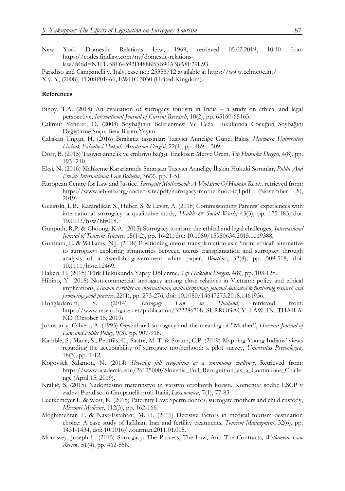- New York Domestic Relations Law, 1969, retrieved 05.02.2019, 10:10 from https://codes.findlaw.com/ny/domestic-relationslaw/#!tid=N1FEB8F64592D4888B3B90A38A8F29E93.
- Paradiso and Campanelli v. Italy, case no.: 25358/12 available at https://www.echr.coe.int/ X v. Y, (2008), FD08P01466, EWHC 3030 (United Kingdom).

#### **References**

- Binoy, T.A. (2018) An evaluation of surrogacy tourism in India a study on ethical and legal perspective, *International Journal of Current Research*, 10(2), pp. 65160-65163.
- Çakmut Yenerer, Ö. (2008) Soybağının Belirlenmesi Ve Ceza Hukukunda Çocuğun Soybağını Değiştirme Suçu. Beta Basım Yayım.
- Çalışkan Ungan, H. (2016) Bırakınız taşısınlar: Taşıyıcı Anneliğe Günel Bakış, *Marmara Üniversitesi Hukuk Fakültesi Hukuk Araştırma Dergisi,* 22(1), pp. 489 – 509.
- Dörr, B. (2015) Taşıyıcı annelik ve embriyo bağışı. Encloser: Merve Ürem, *Tıp Hukuku Dergisi*, 4(8), pp. 193- 210.
- Ekşi, N. (2016) Mahkeme Kararlarında Sınıraşan Taşıyıcı Anneliğe İlişkin Hukuki Sorunlar, *Public And Private International Law Bulletin*, 36(2), pp. 1-51.
- European Centre for Law and Justice. *Surrogate Motherhood: A Violatıon Of Human Rights,* retrieved from: https://www.ieb-eib.org/ancien-site/pdf/surrogacy-motherhood-icjl.pdf (November 20, 2019).
- Gezinski, L.B., Karandikar, S., Huber, S. & Levitt, A. (2018) Commissioning Parents' experiences with international surrogacy: a qualitative study, *Health & Social Work*, 43(3), pp. 175-183, doi: 10.1093/hsw/hly018.
- Gunputh, R.P. & Choong, K.A. (2015) Surrogacy tourism: the ethical and legal challenges, *International Journal of Tourism Sciences*, 15(1-2), pp. 16-21, doi: 10.1080/15980634.2015.1119388.
- Guntram, L. & Williams, N.J. (2018) Positioning uterus transplantation as a 'more ethical' alternative to surrogacy: exploring symmetries between uterus transplantation and surrogacy through analysis of a Swedish government white paper, *Bioethics*, 32(8), pp. 509-518, doi: 10.1111/bioe.12469.
- Hakeri, H. (2015) Türk Hukukunda Yapay Döllenme, *Tıp Hukuku Dergisi,* 4(8), pp. 103-128.
- Hibino, Y. (2018) Non-commercial surrogacy among close relatives in Vietnam: policy and ethical implications, *Human Fertility an international, multidisciplinary journal dedicated to furthering research and promoting good practice*, 22(4), pp. 273-276, doi: 10.1080/14647273.2018.1461936.
- Hongladarom, S. (2014) *Surrogacy Law in Thailand*, retrieved from: https://www.researchgate.net/publication/322286708\_SURROGACY\_LAW\_IN\_THAILA ND (October 15, 2019)
- Johnson v. Calvert, A. (1993) Gestational surrogacy and the meaning of "Mother", *Harvard Journal of Law and Public Policy*, 9(3), pp. 907-918.
- Kamble, S., Mane, S., Petitfils, C., Sastre, M. T. & Sorum, C.P. (2019) Mapping Young Indians' views regarding the acceptability of surrogate motherhood: a pilot survey, *Universitas Psychologica,* 18(3), pp. 1-12.
- Kogovšek Šalamon, N. (2014) *Slovenia: full recognition as a continuous challenge*, Retrieved from: https://www.academia.edu/26125000/Slovenia\_Full\_Recognition\_as\_a\_Continuous\_Challe nge (April 15, 2019).
- Kraljić, S. (2015) Nadomestno materinstvo in varstvo otrokovih koristi. Komentar sodbe ESČP v zadevi Paradiso in Campanelli proti Italiji, *Lexonomica*, 7(1), 77-83.
- Luetkemeyer L. & West, K. (2015) Paternity Law: Sperm donors, surrogate mothers and child custody, *Missouri Medicine*, 112(3), pp. 162-166.
- Moghimehfar, F. & Nasr-Esfahani, M. H. (2011) Decisive factors in medical tourism destination choice: A case study of Isfahan, Iran and fertility treatments, *Tourism Management*, 32(6), pp. 1431-1434, doi: 10.1016/j.tourman.2011.01.005.
- Morrissey, Joseph F. (2015) Surrogacy: The Process, The Law, And The Contracts, *Willamette Law Review*, 51(4), pp. 462-558.